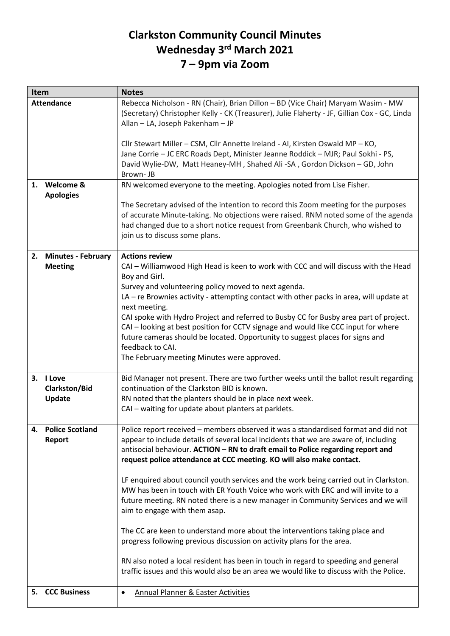## **Clarkston Community Council Minutes Wednesday 3 rd March 2021 7 – 9pm via Zoom**

| Item                      | <b>Notes</b>                                                                                                                                                                                                                                                                                   |
|---------------------------|------------------------------------------------------------------------------------------------------------------------------------------------------------------------------------------------------------------------------------------------------------------------------------------------|
| <b>Attendance</b>         | Rebecca Nicholson - RN (Chair), Brian Dillon - BD (Vice Chair) Maryam Wasim - MW<br>(Secretary) Christopher Kelly - CK (Treasurer), Julie Flaherty - JF, Gillian Cox - GC, Linda<br>Allan - LA, Joseph Pakenham - JP                                                                           |
|                           | Cllr Stewart Miller - CSM, Cllr Annette Ireland - AI, Kirsten Oswald MP - KO,<br>Jane Corrie - JC ERC Roads Dept, Minister Jeanne Roddick - MJR; Paul Sokhi - PS,<br>David Wylie-DW, Matt Heaney-MH, Shahed Ali -SA, Gordon Dickson - GD, John<br>Brown-JB                                     |
| 1. Welcome &              | RN welcomed everyone to the meeting. Apologies noted from Lise Fisher.                                                                                                                                                                                                                         |
| <b>Apologies</b>          | The Secretary advised of the intention to record this Zoom meeting for the purposes<br>of accurate Minute-taking. No objections were raised. RNM noted some of the agenda<br>had changed due to a short notice request from Greenbank Church, who wished to<br>join us to discuss some plans.  |
| 2. Minutes - February     | <b>Actions review</b>                                                                                                                                                                                                                                                                          |
| <b>Meeting</b>            | CAI - Williamwood High Head is keen to work with CCC and will discuss with the Head<br>Boy and Girl.                                                                                                                                                                                           |
|                           | Survey and volunteering policy moved to next agenda.                                                                                                                                                                                                                                           |
|                           | LA - re Brownies activity - attempting contact with other packs in area, will update at                                                                                                                                                                                                        |
|                           | next meeting.<br>CAI spoke with Hydro Project and referred to Busby CC for Busby area part of project.                                                                                                                                                                                         |
|                           | CAI – looking at best position for CCTV signage and would like CCC input for where<br>future cameras should be located. Opportunity to suggest places for signs and                                                                                                                            |
|                           | feedback to CAI.                                                                                                                                                                                                                                                                               |
|                           | The February meeting Minutes were approved.                                                                                                                                                                                                                                                    |
| 3. I Love                 | Bid Manager not present. There are two further weeks until the ballot result regarding                                                                                                                                                                                                         |
| <b>Clarkston/Bid</b>      | continuation of the Clarkston BID is known.                                                                                                                                                                                                                                                    |
| Update                    | RN noted that the planters should be in place next week.<br>CAI - waiting for update about planters at parklets.                                                                                                                                                                               |
|                           |                                                                                                                                                                                                                                                                                                |
| 4. Police Scotland        | Police report received – members observed it was a standardised format and did not                                                                                                                                                                                                             |
| Report                    | appear to include details of several local incidents that we are aware of, including<br>antisocial behaviour. ACTION - RN to draft email to Police regarding report and                                                                                                                        |
|                           | request police attendance at CCC meeting. KO will also make contact.                                                                                                                                                                                                                           |
|                           | LF enquired about council youth services and the work being carried out in Clarkston.<br>MW has been in touch with ER Youth Voice who work with ERC and will invite to a<br>future meeting. RN noted there is a new manager in Community Services and we will<br>aim to engage with them asap. |
|                           | The CC are keen to understand more about the interventions taking place and<br>progress following previous discussion on activity plans for the area.                                                                                                                                          |
|                           | RN also noted a local resident has been in touch in regard to speeding and general<br>traffic issues and this would also be an area we would like to discuss with the Police.                                                                                                                  |
| <b>CCC Business</b><br>5. | <b>Annual Planner &amp; Easter Activities</b><br>٠                                                                                                                                                                                                                                             |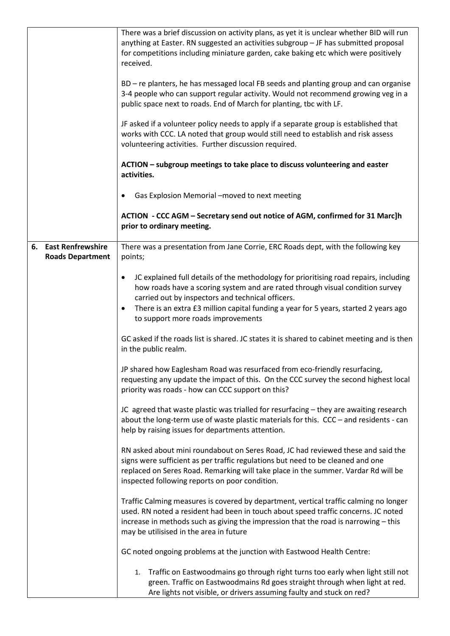|    |                                                     | There was a brief discussion on activity plans, as yet it is unclear whether BID will run<br>anything at Easter. RN suggested an activities subgroup - JF has submitted proposal<br>for competitions including miniature garden, cake baking etc which were positively<br>received.<br>BD - re planters, he has messaged local FB seeds and planting group and can organise<br>3-4 people who can support regular activity. Would not recommend growing veg in a<br>public space next to roads. End of March for planting, tbc with LF.<br>JF asked if a volunteer policy needs to apply if a separate group is established that<br>works with CCC. LA noted that group would still need to establish and risk assess<br>volunteering activities. Further discussion required.<br>ACTION - subgroup meetings to take place to discuss volunteering and easter<br>activities.<br>Gas Explosion Memorial -moved to next meeting<br>٠ |
|----|-----------------------------------------------------|------------------------------------------------------------------------------------------------------------------------------------------------------------------------------------------------------------------------------------------------------------------------------------------------------------------------------------------------------------------------------------------------------------------------------------------------------------------------------------------------------------------------------------------------------------------------------------------------------------------------------------------------------------------------------------------------------------------------------------------------------------------------------------------------------------------------------------------------------------------------------------------------------------------------------------|
|    |                                                     | ACTION - CCC AGM - Secretary send out notice of AGM, confirmed for 31 Marc]h<br>prior to ordinary meeting.                                                                                                                                                                                                                                                                                                                                                                                                                                                                                                                                                                                                                                                                                                                                                                                                                         |
| 6. | <b>East Renfrewshire</b><br><b>Roads Department</b> | There was a presentation from Jane Corrie, ERC Roads dept, with the following key<br>points;                                                                                                                                                                                                                                                                                                                                                                                                                                                                                                                                                                                                                                                                                                                                                                                                                                       |
|    |                                                     | JC explained full details of the methodology for prioritising road repairs, including<br>$\bullet$<br>how roads have a scoring system and are rated through visual condition survey<br>carried out by inspectors and technical officers.<br>There is an extra £3 million capital funding a year for 5 years, started 2 years ago<br>$\bullet$<br>to support more roads improvements                                                                                                                                                                                                                                                                                                                                                                                                                                                                                                                                                |
|    |                                                     | GC asked if the roads list is shared. JC states it is shared to cabinet meeting and is then<br>in the public realm.                                                                                                                                                                                                                                                                                                                                                                                                                                                                                                                                                                                                                                                                                                                                                                                                                |
|    |                                                     | JP shared how Eaglesham Road was resurfaced from eco-friendly resurfacing,<br>requesting any update the impact of this. On the CCC survey the second highest local<br>priority was roads - how can CCC support on this?                                                                                                                                                                                                                                                                                                                                                                                                                                                                                                                                                                                                                                                                                                            |
|    |                                                     | JC agreed that waste plastic was trialled for resurfacing - they are awaiting research<br>about the long-term use of waste plastic materials for this. CCC - and residents - can<br>help by raising issues for departments attention.                                                                                                                                                                                                                                                                                                                                                                                                                                                                                                                                                                                                                                                                                              |
|    |                                                     | RN asked about mini roundabout on Seres Road, JC had reviewed these and said the<br>signs were sufficient as per traffic regulations but need to be cleaned and one<br>replaced on Seres Road. Remarking will take place in the summer. Vardar Rd will be<br>inspected following reports on poor condition.                                                                                                                                                                                                                                                                                                                                                                                                                                                                                                                                                                                                                        |
|    |                                                     | Traffic Calming measures is covered by department, vertical traffic calming no longer<br>used. RN noted a resident had been in touch about speed traffic concerns. JC noted<br>increase in methods such as giving the impression that the road is narrowing - this<br>may be utilisised in the area in future                                                                                                                                                                                                                                                                                                                                                                                                                                                                                                                                                                                                                      |
|    |                                                     | GC noted ongoing problems at the junction with Eastwood Health Centre:                                                                                                                                                                                                                                                                                                                                                                                                                                                                                                                                                                                                                                                                                                                                                                                                                                                             |
|    |                                                     | Traffic on Eastwoodmains go through right turns too early when light still not<br>1.<br>green. Traffic on Eastwoodmains Rd goes straight through when light at red.<br>Are lights not visible, or drivers assuming faulty and stuck on red?                                                                                                                                                                                                                                                                                                                                                                                                                                                                                                                                                                                                                                                                                        |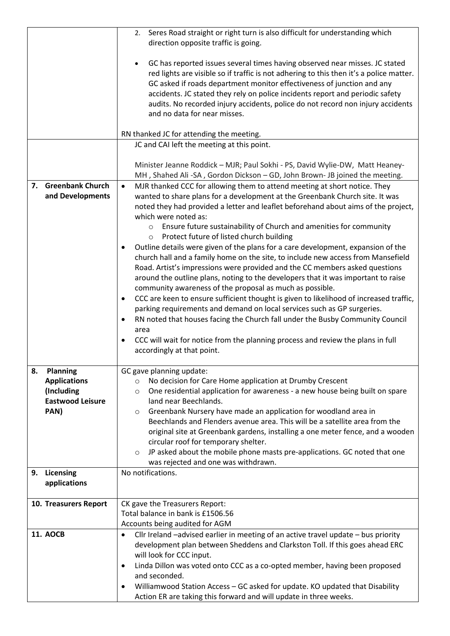|                                                                                               | Seres Road straight or right turn is also difficult for understanding which<br>2.                                                                                                                                                                                                                                                                                                                                                                                                                                                                                                                                                                                                                                                                                                                                                                                                                                                                                                                                                                                                                                                                                                                                                                                                                                                                                                                                        |
|-----------------------------------------------------------------------------------------------|--------------------------------------------------------------------------------------------------------------------------------------------------------------------------------------------------------------------------------------------------------------------------------------------------------------------------------------------------------------------------------------------------------------------------------------------------------------------------------------------------------------------------------------------------------------------------------------------------------------------------------------------------------------------------------------------------------------------------------------------------------------------------------------------------------------------------------------------------------------------------------------------------------------------------------------------------------------------------------------------------------------------------------------------------------------------------------------------------------------------------------------------------------------------------------------------------------------------------------------------------------------------------------------------------------------------------------------------------------------------------------------------------------------------------|
|                                                                                               | direction opposite traffic is going.                                                                                                                                                                                                                                                                                                                                                                                                                                                                                                                                                                                                                                                                                                                                                                                                                                                                                                                                                                                                                                                                                                                                                                                                                                                                                                                                                                                     |
|                                                                                               | GC has reported issues several times having observed near misses. JC stated<br>red lights are visible so if traffic is not adhering to this then it's a police matter.<br>GC asked if roads department monitor effectiveness of junction and any<br>accidents. JC stated they rely on police incidents report and periodic safety<br>audits. No recorded injury accidents, police do not record non injury accidents<br>and no data for near misses.                                                                                                                                                                                                                                                                                                                                                                                                                                                                                                                                                                                                                                                                                                                                                                                                                                                                                                                                                                     |
|                                                                                               | RN thanked JC for attending the meeting.                                                                                                                                                                                                                                                                                                                                                                                                                                                                                                                                                                                                                                                                                                                                                                                                                                                                                                                                                                                                                                                                                                                                                                                                                                                                                                                                                                                 |
|                                                                                               | JC and CAI left the meeting at this point.                                                                                                                                                                                                                                                                                                                                                                                                                                                                                                                                                                                                                                                                                                                                                                                                                                                                                                                                                                                                                                                                                                                                                                                                                                                                                                                                                                               |
|                                                                                               |                                                                                                                                                                                                                                                                                                                                                                                                                                                                                                                                                                                                                                                                                                                                                                                                                                                                                                                                                                                                                                                                                                                                                                                                                                                                                                                                                                                                                          |
|                                                                                               | Minister Jeanne Roddick - MJR; Paul Sokhi - PS, David Wylie-DW, Matt Heaney-<br>MH, Shahed Ali-SA, Gordon Dickson - GD, John Brown- JB joined the meeting.                                                                                                                                                                                                                                                                                                                                                                                                                                                                                                                                                                                                                                                                                                                                                                                                                                                                                                                                                                                                                                                                                                                                                                                                                                                               |
| 7. Greenbank Church<br>and Developments                                                       | MJR thanked CCC for allowing them to attend meeting at short notice. They<br>$\bullet$<br>wanted to share plans for a development at the Greenbank Church site. It was<br>noted they had provided a letter and leaflet beforehand about aims of the project,<br>which were noted as:                                                                                                                                                                                                                                                                                                                                                                                                                                                                                                                                                                                                                                                                                                                                                                                                                                                                                                                                                                                                                                                                                                                                     |
|                                                                                               | Ensure future sustainability of Church and amenities for community<br>$\circ$<br>Protect future of listed church building<br>$\circ$                                                                                                                                                                                                                                                                                                                                                                                                                                                                                                                                                                                                                                                                                                                                                                                                                                                                                                                                                                                                                                                                                                                                                                                                                                                                                     |
| 8.<br><b>Planning</b><br><b>Applications</b><br>(Including<br><b>Eastwood Leisure</b><br>PAN) | Outline details were given of the plans for a care development, expansion of the<br>church hall and a family home on the site, to include new access from Mansefield<br>Road. Artist's impressions were provided and the CC members asked questions<br>around the outline plans, noting to the developers that it was important to raise<br>community awareness of the proposal as much as possible.<br>CCC are keen to ensure sufficient thought is given to likelihood of increased traffic,<br>٠<br>parking requirements and demand on local services such as GP surgeries.<br>RN noted that houses facing the Church fall under the Busby Community Council<br>$\bullet$<br>area<br>CCC will wait for notice from the planning process and review the plans in full<br>$\bullet$<br>accordingly at that point.<br>GC gave planning update:<br>No decision for Care Home application at Drumby Crescent<br>$\circ$<br>One residential application for awareness - a new house being built on spare<br>$\circ$<br>land near Beechlands.<br>Greenbank Nursery have made an application for woodland area in<br>$\circ$<br>Beechlands and Flenders avenue area. This will be a satellite area from the<br>original site at Greenbank gardens, installing a one meter fence, and a wooden<br>circular roof for temporary shelter.<br>JP asked about the mobile phone masts pre-applications. GC noted that one<br>$\circ$ |
|                                                                                               | was rejected and one was withdrawn.                                                                                                                                                                                                                                                                                                                                                                                                                                                                                                                                                                                                                                                                                                                                                                                                                                                                                                                                                                                                                                                                                                                                                                                                                                                                                                                                                                                      |
| 9. Licensing<br>applications                                                                  | No notifications.                                                                                                                                                                                                                                                                                                                                                                                                                                                                                                                                                                                                                                                                                                                                                                                                                                                                                                                                                                                                                                                                                                                                                                                                                                                                                                                                                                                                        |
| 10. Treasurers Report                                                                         | CK gave the Treasurers Report:                                                                                                                                                                                                                                                                                                                                                                                                                                                                                                                                                                                                                                                                                                                                                                                                                                                                                                                                                                                                                                                                                                                                                                                                                                                                                                                                                                                           |
|                                                                                               | Total balance in bank is £1506.56                                                                                                                                                                                                                                                                                                                                                                                                                                                                                                                                                                                                                                                                                                                                                                                                                                                                                                                                                                                                                                                                                                                                                                                                                                                                                                                                                                                        |
| <b>11. AOCB</b>                                                                               | Accounts being audited for AGM<br>Cllr Ireland -advised earlier in meeting of an active travel update - bus priority<br>$\bullet$                                                                                                                                                                                                                                                                                                                                                                                                                                                                                                                                                                                                                                                                                                                                                                                                                                                                                                                                                                                                                                                                                                                                                                                                                                                                                        |
|                                                                                               | development plan between Sheddens and Clarkston Toll. If this goes ahead ERC<br>will look for CCC input.                                                                                                                                                                                                                                                                                                                                                                                                                                                                                                                                                                                                                                                                                                                                                                                                                                                                                                                                                                                                                                                                                                                                                                                                                                                                                                                 |
|                                                                                               | Linda Dillon was voted onto CCC as a co-opted member, having been proposed<br>٠<br>and seconded.                                                                                                                                                                                                                                                                                                                                                                                                                                                                                                                                                                                                                                                                                                                                                                                                                                                                                                                                                                                                                                                                                                                                                                                                                                                                                                                         |
|                                                                                               | Williamwood Station Access - GC asked for update. KO updated that Disability<br>$\bullet$<br>Action ER are taking this forward and will update in three weeks.                                                                                                                                                                                                                                                                                                                                                                                                                                                                                                                                                                                                                                                                                                                                                                                                                                                                                                                                                                                                                                                                                                                                                                                                                                                           |